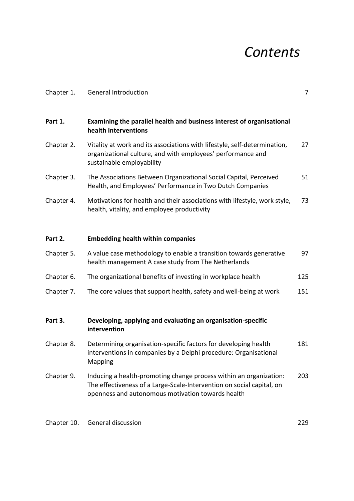## *Contents*

| Chapter 1. | <b>General Introduction</b>                                                                                                                                                                      | $\overline{7}$ |
|------------|--------------------------------------------------------------------------------------------------------------------------------------------------------------------------------------------------|----------------|
| Part 1.    | Examining the parallel health and business interest of organisational<br>health interventions                                                                                                    |                |
| Chapter 2. | Vitality at work and its associations with lifestyle, self-determination,<br>organizational culture, and with employees' performance and<br>sustainable employability                            | 27             |
| Chapter 3. | The Associations Between Organizational Social Capital, Perceived<br>Health, and Employees' Performance in Two Dutch Companies                                                                   | 51             |
| Chapter 4. | Motivations for health and their associations with lifestyle, work style,<br>health, vitality, and employee productivity                                                                         | 73             |
| Part 2.    | <b>Embedding health within companies</b>                                                                                                                                                         |                |
| Chapter 5. | A value case methodology to enable a transition towards generative<br>health management A case study from The Netherlands                                                                        | 97             |
| Chapter 6. | The organizational benefits of investing in workplace health                                                                                                                                     | 125            |
| Chapter 7. | The core values that support health, safety and well-being at work                                                                                                                               | 151            |
| Part 3.    | Developing, applying and evaluating an organisation-specific<br>intervention                                                                                                                     |                |
| Chapter 8. | Determining organisation-specific factors for developing health<br>interventions in companies by a Delphi procedure: Organisational<br>Mapping                                                   | 181            |
| Chapter 9. | Inducing a health-promoting change process within an organization:<br>The effectiveness of a Large-Scale-Intervention on social capital, on<br>openness and autonomous motivation towards health | 203            |

Chapter 10. General discussion 229